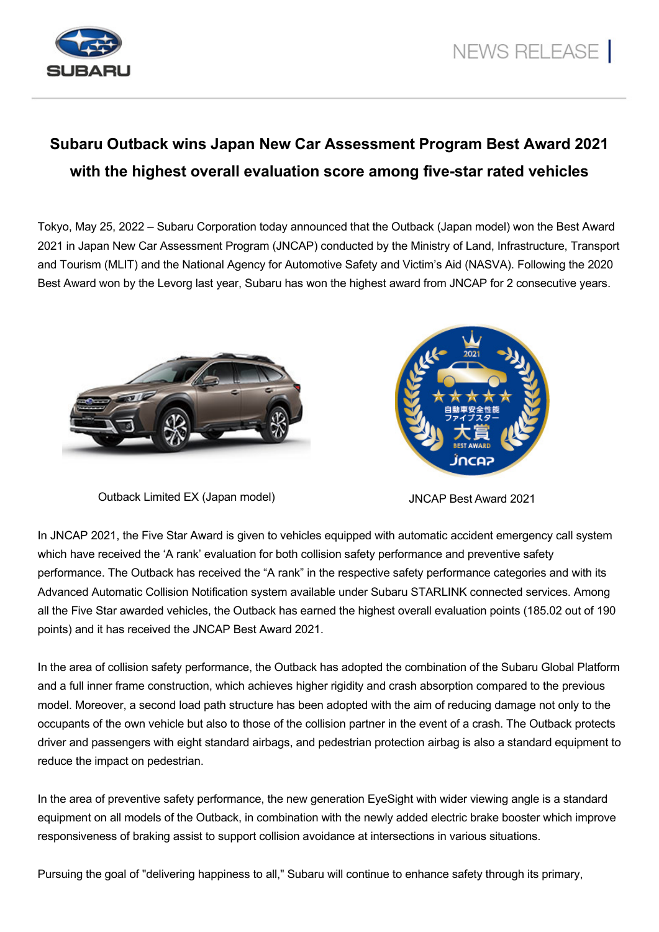

## **Subaru Outback wins Japan New Car Assessment Program Best Award 2021 with the highest overall evaluation score among five-star rated vehicles**

Tokyo, May 25, 2022 – Subaru Corporation today announced that the Outback (Japan model) won the Best Award 2021 in Japan New Car Assessment Program (JNCAP) conducted by the Ministry of Land, Infrastructure, Transport and Tourism (MLIT) and the National Agency for Automotive Safety and Victim's Aid (NASVA). Following the 2020 Best Award won by the Levorg last year, Subaru has won the highest award from JNCAP for 2 consecutive years.





Outback Limited EX (Japan model) JNCAP Best Award 2021

In JNCAP 2021, the Five Star Award is given to vehicles equipped with automatic accident emergency call system which have received the 'A rank' evaluation for both collision safety performance and preventive safety performance. The Outback has received the "A rank" in the respective safety performance categories and with its Advanced Automatic Collision Notification system available under Subaru STARLINK connected services. Among all the Five Star awarded vehicles, the Outback has earned the highest overall evaluation points (185.02 out of 190 points) and it has received the JNCAP Best Award 2021.

In the area of collision safety performance, the Outback has adopted the combination of the Subaru Global Platform and a full inner frame construction, which achieves higher rigidity and crash absorption compared to the previous model. Moreover, a second load path structure has been adopted with the aim of reducing damage not only to the occupants of the own vehicle but also to those of the collision partner in the event of a crash. The Outback protects driver and passengers with eight standard airbags, and pedestrian protection airbag is also a standard equipment to reduce the impact on pedestrian.

In the area of preventive safety performance, the new generation EyeSight with wider viewing angle is a standard equipment on all models of the Outback, in combination with the newly added electric brake booster which improve responsiveness of braking assist to support collision avoidance at intersections in various situations.

Pursuing the goal of "delivering happiness to all," Subaru will continue to enhance safety through its primary,